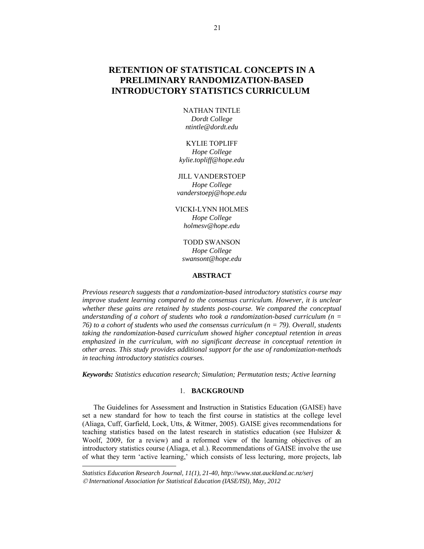# **RETENTION OF STATISTICAL CONCEPTS IN A PRELIMINARY RANDOMIZATION-BASED INTRODUCTORY STATISTICS CURRICULUM**<sup>3</sup>

NATHAN TINTLE *Dordt College ntintle@dordt.edu* 

KYLIE TOPLIFF *Hope College kylie.topliff@hope.edu* 

JILL VANDERSTOEP *Hope College vanderstoepj@hope.edu* 

VICKI-LYNN HOLMES *Hope College holmesv@hope.edu* 

TODD SWANSON *Hope College swansont@hope.edu* 

# **ABSTRACT**

*Previous research suggests that a randomization-based introductory statistics course may improve student learning compared to the consensus curriculum. However, it is unclear* whether these gains are retained by students post-course. We compared the conceptual *understanding of a cohort of students who took a randomization-based curriculum (n = 76) to a cohort of students who used the consensus curriculum (n = 79). Overall, students taking the randomization-based curriculum showed higher conceptual retention in areas emphasized in the curriculum, with no significant decrease in conceptual retention in other areas. This study provides additional support for the use of randomization-methods in teaching introductory statistics courses.* 

*Keywords: Statistics education research; Simulation; Permutation tests; Active learning* 

# 1. **BACKGROUND**

The Guidelines for Assessment and Instruction in Statistics Education (GAISE) have set a new standard for how to teach the first course in statistics at the college level (Aliaga, Cuff, Garfield, Lock, Utts, & Witmer, 2005). GAISE gives recommendations for teaching statistics based on the latest research in statistics education (see Hulsizer  $\&$ Woolf, 2009, for a review) and a reformed view of the learning objectives of an introductory statistics course (Aliaga, et al.). Recommendations of GAISE involve the use of what they term 'active learning,' which consists of less lecturing, more projects, lab

l

*Statistics Education Research Journal, 11(1), 21-40, http://www.stat.auckland.ac.nz/serj International Association for Statistical Education (IASE/ISI), May, 2012*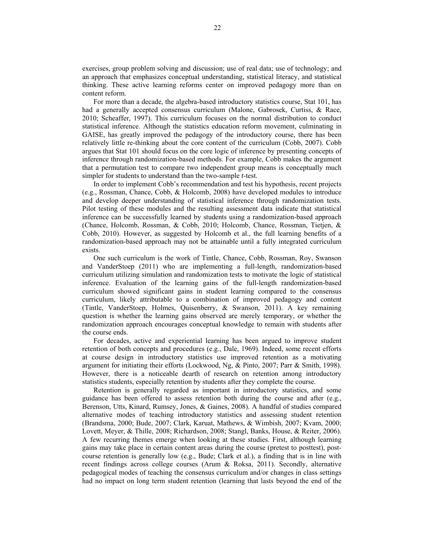exercises, group problem solving and discussion; use of real data; use of technology; and an approach that emphasizes conceptual understanding, statistical literacy, and statistical thinking. These active learning reforms center on improved pedagogy more than on content reform.

For more than a decade, the algebra-based introductory statistics course, Stat 101, has had a generally accepted consensus curriculum (Malone, Gabrosek, Curtiss, & Race, 2010; Scheaffer, 1997). This curriculum focuses on the normal distribution to conduct statistical inference. Although the statistics education reform movement, culminating in GAISE, has greatly improved the pedagogy of the introductory course, there has been relatively little re-thinking about the core content of the curriculum (Cobb, 2007). Cobb argues that Stat 101 should focus on the core logic of inference by presenting concepts of inference through randomization-based methods. For example, Cobb makes the argument that a permutation test to compare two independent group means is conceptually much simpler for students to understand than the two-sample *t*-test.

In order to implement Cobb's recommendation and test his hypothesis, recent projects (e.g., Rossman, Chance, Cobb, & Holcomb, 2008) have developed modules to introduce and develop deeper understanding of statistical inference through randomization tests. Pilot testing of these modules and the resulting assessment data indicate that statistical inference can be successfully learned by students using a randomization-based approach (Chance, Holcomb, Rossman, & Cobb, 2010; Holcomb, Chance, Rossman, Tietjen, & Cobb, 2010). However, as suggested by Holcomb et al., the full learning benefits of a randomization-based approach may not be attainable until a fully integrated curriculum exists.

One such curriculum is the work of Tintle, Chance, Cobb, Rossman, Roy, Swanson and VanderStoep (2011) who are implementing a full-length, randomization-based curriculum utilizing simulation and randomization tests to motivate the logic of statistical inference. Evaluation of the learning gains of the full-length randomization-based curriculum showed significant gains in student learning compared to the consensus curriculum, likely attributable to a combination of improved pedagogy and content (Tintle, VanderStoep, Holmes, Quisenberry, & Swanson, 2011). A key remaining question is whether the learning gains observed are merely temporary, or whether the randomization approach encourages conceptual knowledge to remain with students after the course ends.

For decades, active and experiential learning has been argued to improve student retention of both concepts and procedures (e.g., Dale, 1969). Indeed, some recent efforts at course design in introductory statistics use improved retention as a motivating argument for initiating their efforts (Lockwood, Ng, & Pinto, 2007; Parr & Smith, 1998). However, there is a noticeable dearth of research on retention among introductory statistics students, especially retention by students after they complete the course.

Retention is generally regarded as important in introductory statistics, and some guidance has been offered to assess retention both during the course and after (e.g., Berenson, Utts, Kinard, Rumsey, Jones, & Gaines, 2008). A handful of studies compared alternative modes of teaching introductory statistics and assessing student retention (Brandsma, 2000; Bude, 2007; Clark, Karuat, Mathews, & Wimbish, 2007; Kvam, 2000; Lovett, Meyer, & Thille, 2008; Richardson, 2008; Stangl, Banks, House, & Reiter, 2006). A few recurring themes emerge when looking at these studies. First, although learning gains may take place in certain content areas during the course (pretest to posttest), postcourse retention is generally low (e.g., Bude; Clark et al.), a finding that is in line with recent findings across college courses (Arum & Roksa, 2011). Secondly, alternative pedagogical modes of teaching the consensus curriculum and/or changes in class settings had no impact on long term student retention (learning that lasts beyond the end of the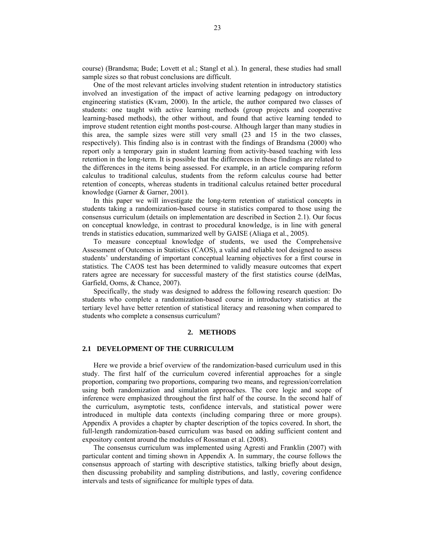course) (Brandsma; Bude; Lovett et al.; Stangl et al.). In general, these studies had small sample sizes so that robust conclusions are difficult.

One of the most relevant articles involving student retention in introductory statistics involved an investigation of the impact of active learning pedagogy on introductory engineering statistics (Kvam, 2000). In the article, the author compared two classes of students: one taught with active learning methods (group projects and cooperative learning-based methods), the other without, and found that active learning tended to improve student retention eight months post-course. Although larger than many studies in this area, the sample sizes were still very small (23 and 15 in the two classes, respectively). This finding also is in contrast with the findings of Brandsma (2000) who report only a temporary gain in student learning from activity-based teaching with less retention in the long-term. It is possible that the differences in these findings are related to the differences in the items being assessed. For example, in an article comparing reform calculus to traditional calculus, students from the reform calculus course had better retention of concepts, whereas students in traditional calculus retained better procedural knowledge (Garner & Garner, 2001).

In this paper we will investigate the long-term retention of statistical concepts in students taking a randomization-based course in statistics compared to those using the consensus curriculum (details on implementation are described in Section 2.1). Our focus on conceptual knowledge, in contrast to procedural knowledge, is in line with general trends in statistics education, summarized well by GAISE (Aliaga et al., 2005).

To measure conceptual knowledge of students, we used the Comprehensive Assessment of Outcomes in Statistics (CAOS), a valid and reliable tool designed to assess students' understanding of important conceptual learning objectives for a first course in statistics. The CAOS test has been determined to validly measure outcomes that expert raters agree are necessary for successful mastery of the first statistics course (delMas, Garfield, Ooms, & Chance, 2007).

Specifically, the study was designed to address the following research question: Do students who complete a randomization-based course in introductory statistics at the tertiary level have better retention of statistical literacy and reasoning when compared to students who complete a consensus curriculum?

#### **2. METHODS**

#### **2.1 DEVELOPMENT OF THE CURRICULUM**

Here we provide a brief overview of the randomization-based curriculum used in this study. The first half of the curriculum covered inferential approaches for a single proportion, comparing two proportions, comparing two means, and regression/correlation using both randomization and simulation approaches. The core logic and scope of inference were emphasized throughout the first half of the course. In the second half of the curriculum, asymptotic tests, confidence intervals, and statistical power were introduced in multiple data contexts (including comparing three or more groups). Appendix A provides a chapter by chapter description of the topics covered. In short, the full-length randomization-based curriculum was based on adding sufficient content and expository content around the modules of Rossman et al. (2008).

The consensus curriculum was implemented using Agresti and Franklin (2007) with particular content and timing shown in Appendix A. In summary, the course follows the consensus approach of starting with descriptive statistics, talking briefly about design, then discussing probability and sampling distributions, and lastly, covering confidence intervals and tests of significance for multiple types of data.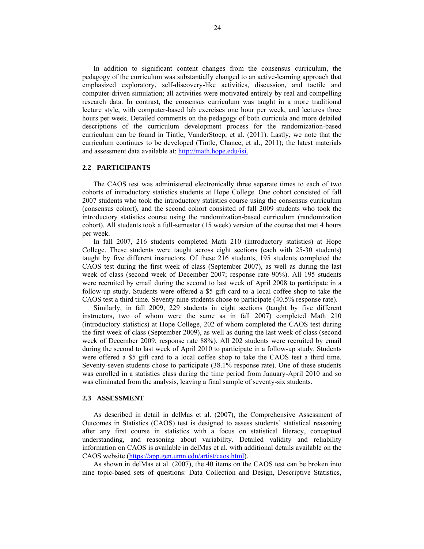In addition to significant content changes from the consensus curriculum, the pedagogy of the curriculum was substantially changed to an active-learning approach that emphasized exploratory, self-discovery-like activities, discussion, and tactile and computer-driven simulation; all activities were motivated entirely by real and compelling research data. In contrast, the consensus curriculum was taught in a more traditional lecture style, with computer-based lab exercises one hour per week, and lectures three hours per week. Detailed comments on the pedagogy of both curricula and more detailed descriptions of the curriculum development process for the randomization-based curriculum can be found in Tintle, VanderStoep, et al. (2011). Lastly, we note that the curriculum continues to be developed (Tintle, Chance, et al., 2011); the latest materials and assessment data available at: http://math.hope.edu/isi.

# **2.2 PARTICIPANTS**

The CAOS test was administered electronically three separate times to each of two cohorts of introductory statistics students at Hope College. One cohort consisted of fall 2007 students who took the introductory statistics course using the consensus curriculum (consensus cohort), and the second cohort consisted of fall 2009 students who took the introductory statistics course using the randomization-based curriculum (randomization cohort). All students took a full-semester (15 week) version of the course that met 4 hours per week.

In fall 2007, 216 students completed Math 210 (introductory statistics) at Hope College. These students were taught across eight sections (each with 25-30 students) taught by five different instructors. Of these 216 students, 195 students completed the CAOS test during the first week of class (September 2007), as well as during the last week of class (second week of December 2007; response rate 90%). All 195 students were recruited by email during the second to last week of April 2008 to participate in a follow-up study. Students were offered a \$5 gift card to a local coffee shop to take the CAOS test a third time. Seventy nine students chose to participate (40.5% response rate).

Similarly, in fall 2009, 229 students in eight sections (taught by five different instructors, two of whom were the same as in fall 2007) completed Math 210 (introductory statistics) at Hope College, 202 of whom completed the CAOS test during the first week of class (September 2009), as well as during the last week of class (second week of December 2009; response rate 88%). All 202 students were recruited by email during the second to last week of April 2010 to participate in a follow-up study. Students were offered a \$5 gift card to a local coffee shop to take the CAOS test a third time. Seventy-seven students chose to participate (38.1% response rate). One of these students was enrolled in a statistics class during the time period from January-April 2010 and so was eliminated from the analysis, leaving a final sample of seventy-six students.

### **2.3 ASSESSMENT**

As described in detail in delMas et al. (2007), the Comprehensive Assessment of Outcomes in Statistics (CAOS) test is designed to assess students' statistical reasoning after any first course in statistics with a focus on statistical literacy, conceptual understanding, and reasoning about variability. Detailed validity and reliability information on CAOS is available in delMas et al. with additional details available on the CAOS website (https://app.gen.umn.edu/artist/caos.html).

As shown in delMas et al. (2007), the 40 items on the CAOS test can be broken into nine topic-based sets of questions: Data Collection and Design, Descriptive Statistics,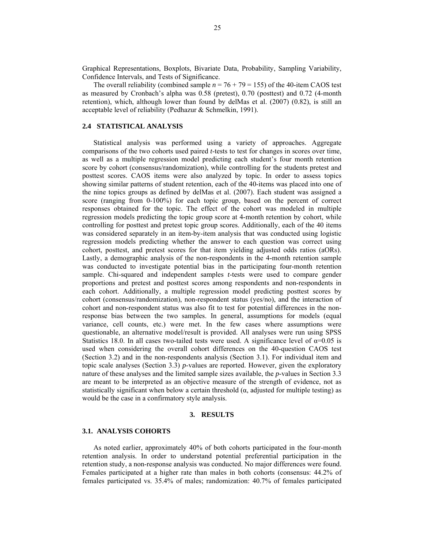Graphical Representations, Boxplots, Bivariate Data, Probability, Sampling Variability, Confidence Intervals, and Tests of Significance.

The overall reliability (combined sample  $n = 76 + 79 = 155$ ) of the 40-item CAOS test as measured by Cronbach's alpha was 0.58 (pretest), 0.70 (posttest) and 0.72 (4-month retention), which, although lower than found by delMas et al. (2007) (0.82), is still an acceptable level of reliability (Pedhazur & Schmelkin, 1991).

# **2.4 STATISTICAL ANALYSIS**

Statistical analysis was performed using a variety of approaches. Aggregate comparisons of the two cohorts used paired *t*-tests to test for changes in scores over time, as well as a multiple regression model predicting each student's four month retention score by cohort (consensus/randomization), while controlling for the students pretest and posttest scores. CAOS items were also analyzed by topic. In order to assess topics showing similar patterns of student retention, each of the 40-items was placed into one of the nine topics groups as defined by delMas et al. (2007). Each student was assigned a score (ranging from 0-100%) for each topic group, based on the percent of correct responses obtained for the topic. The effect of the cohort was modeled in multiple regression models predicting the topic group score at 4-month retention by cohort, while controlling for posttest and pretest topic group scores. Additionally, each of the 40 items was considered separately in an item-by-item analysis that was conducted using logistic regression models predicting whether the answer to each question was correct using cohort, posttest, and pretest scores for that item yielding adjusted odds ratios (aORs). Lastly, a demographic analysis of the non-respondents in the 4-month retention sample was conducted to investigate potential bias in the participating four-month retention sample. Chi-squared and independent samples *t*-tests were used to compare gender proportions and pretest and posttest scores among respondents and non-respondents in each cohort. Additionally, a multiple regression model predicting posttest scores by cohort (consensus/randomization), non-respondent status (yes/no), and the interaction of cohort and non-respondent status was also fit to test for potential differences in the nonresponse bias between the two samples. In general, assumptions for models (equal variance, cell counts, etc.) were met. In the few cases where assumptions were questionable, an alternative model/result is provided. All analyses were run using SPSS Statistics 18.0. In all cases two-tailed tests were used. A significance level of  $\alpha$ =0.05 is used when considering the overall cohort differences on the 40-question CAOS test (Section 3.2) and in the non-respondents analysis (Section 3.1). For individual item and topic scale analyses (Section 3.3) *p*-values are reported. However, given the exploratory nature of these analyses and the limited sample sizes available, the *p*-values in Section 3.3 are meant to be interpreted as an objective measure of the strength of evidence, not as statistically significant when below a certain threshold  $(\alpha)$ , adjusted for multiple testing) as would be the case in a confirmatory style analysis.

#### **3. RESULTS**

### **3.1. ANALYSIS COHORTS**

As noted earlier, approximately 40% of both cohorts participated in the four-month retention analysis. In order to understand potential preferential participation in the retention study, a non-response analysis was conducted. No major differences were found. Females participated at a higher rate than males in both cohorts (consensus: 44.2% of females participated vs. 35.4% of males; randomization: 40.7% of females participated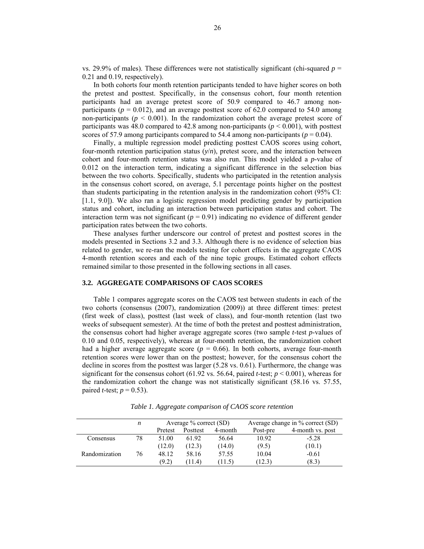vs. 29.9% of males). These differences were not statistically significant (chi-squared  $p =$ 0.21 and 0.19, respectively).

In both cohorts four month retention participants tended to have higher scores on both the pretest and posttest. Specifically, in the consensus cohort, four month retention participants had an average pretest score of 50.9 compared to 46.7 among nonparticipants ( $p = 0.012$ ), and an average posttest score of 62.0 compared to 54.0 among non-participants ( $p < 0.001$ ). In the randomization cohort the average pretest score of participants was 48.0 compared to 42.8 among non-participants ( $p < 0.001$ ), with posttest scores of 57.9 among participants compared to 54.4 among non-participants ( $p = 0.04$ ).

Finally, a multiple regression model predicting posttest CAOS scores using cohort, four-month retention participation status (*y*/*n*), pretest score, and the interaction between cohort and four-month retention status was also run. This model yielded a *p*-value of 0.012 on the interaction term, indicating a significant difference in the selection bias between the two cohorts. Specifically, students who participated in the retention analysis in the consensus cohort scored, on average, 5.1 percentage points higher on the posttest than students participating in the retention analysis in the randomization cohort (95% CI: [1.1, 9.0]). We also ran a logistic regression model predicting gender by participation status and cohort, including an interaction between participation status and cohort. The interaction term was not significant ( $p = 0.91$ ) indicating no evidence of different gender participation rates between the two cohorts.

These analyses further underscore our control of pretest and posttest scores in the models presented in Sections 3.2 and 3.3. Although there is no evidence of selection bias related to gender, we re-ran the models testing for cohort effects in the aggregate CAOS 4-month retention scores and each of the nine topic groups. Estimated cohort effects remained similar to those presented in the following sections in all cases.

# **3.2. AGGREGATE COMPARISONS OF CAOS SCORES**

Table 1 compares aggregate scores on the CAOS test between students in each of the two cohorts (consensus (2007), randomization (2009)) at three different times: pretest (first week of class), posttest (last week of class), and four-month retention (last two weeks of subsequent semester). At the time of both the pretest and posttest administration, the consensus cohort had higher average aggregate scores (two sample *t*-test *p*-values of 0.10 and 0.05, respectively), whereas at four-month retention, the randomization cohort had a higher average aggregate score ( $p = 0.66$ ). In both cohorts, average four-month retention scores were lower than on the posttest; however, for the consensus cohort the decline in scores from the posttest was larger (5.28 vs. 0.61). Furthermore, the change was significant for the consensus cohort (61.92 vs. 56.64, paired *t*-test;  $p \le 0.001$ ), whereas for the randomization cohort the change was not statistically significant (58.16 vs. 57.55, paired *t*-test;  $p = 0.53$ ).

*Table 1. Aggregate comparison of CAOS score retention* 

|               | n  |         | Average $%$ correct (SD) |         | Average change in % correct (SD) |                  |  |  |  |
|---------------|----|---------|--------------------------|---------|----------------------------------|------------------|--|--|--|
|               |    | Pretest | Posttest                 | 4-month | Post-pre                         | 4-month vs. post |  |  |  |
| Consensus     | 78 | 51.00   | 61.92                    | 56.64   | 10.92                            | $-5.28$          |  |  |  |
|               |    | (12.0)  | (12.3)                   | (14.0)  | (9.5)                            | (10.1)           |  |  |  |
| Randomization | 76 | 48.12   | 58.16                    | 57.55   | 10.04                            | $-0.61$          |  |  |  |
|               |    | (9.2)   | (11.4)                   | (11.5)  | (12.3)                           | (8.3)            |  |  |  |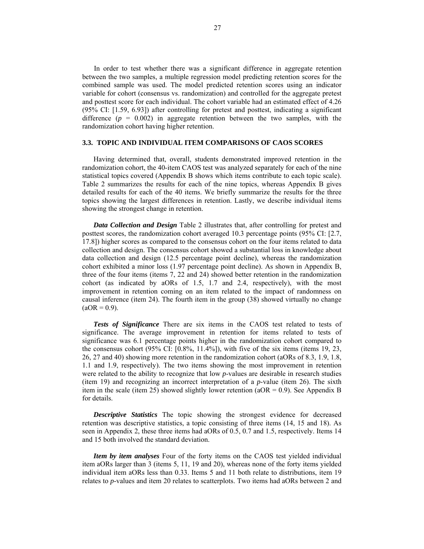In order to test whether there was a significant difference in aggregate retention between the two samples, a multiple regression model predicting retention scores for the combined sample was used. The model predicted retention scores using an indicator variable for cohort (consensus vs. randomization) and controlled for the aggregate pretest and posttest score for each individual. The cohort variable had an estimated effect of 4.26 (95% CI: [1.59, 6.93]) after controlling for pretest and posttest, indicating a significant difference  $(p = 0.002)$  in aggregate retention between the two samples, with the randomization cohort having higher retention.

# **3.3. TOPIC AND INDIVIDUAL ITEM COMPARISONS OF CAOS SCORES**

Having determined that, overall, students demonstrated improved retention in the randomization cohort, the 40-item CAOS test was analyzed separately for each of the nine statistical topics covered (Appendix B shows which items contribute to each topic scale). Table 2 summarizes the results for each of the nine topics, whereas Appendix B gives detailed results for each of the 40 items. We briefly summarize the results for the three topics showing the largest differences in retention. Lastly, we describe individual items showing the strongest change in retention.

*Data Collection and Design* Table 2 illustrates that, after controlling for pretest and posttest scores, the randomization cohort averaged 10.3 percentage points (95% CI: [2.7, 17.8]) higher scores as compared to the consensus cohort on the four items related to data collection and design. The consensus cohort showed a substantial loss in knowledge about data collection and design (12.5 percentage point decline), whereas the randomization cohort exhibited a minor loss (1.97 percentage point decline). As shown in Appendix B, three of the four items (items 7, 22 and 24) showed better retention in the randomization cohort (as indicated by aORs of 1.5, 1.7 and 2.4, respectively), with the most improvement in retention coming on an item related to the impact of randomness on causal inference (item 24). The fourth item in the group (38) showed virtually no change  $(aOR = 0.9)$ .

*Tests of Significance* There are six items in the CAOS test related to tests of significance. The average improvement in retention for items related to tests of significance was 6.1 percentage points higher in the randomization cohort compared to the consensus cohort  $(95\% \text{ CI: } [0.8\%, 11.4\%])$ , with five of the six items (items 19, 23, 26, 27 and 40) showing more retention in the randomization cohort (aORs of 8.3, 1.9, 1.8, 1.1 and 1.9, respectively). The two items showing the most improvement in retention were related to the ability to recognize that low *p*-values are desirable in research studies (item 19) and recognizing an incorrect interpretation of a *p*-value (item 26). The sixth item in the scale (item 25) showed slightly lower retention ( $aOR = 0.9$ ). See Appendix B for details.

*Descriptive Statistics* The topic showing the strongest evidence for decreased retention was descriptive statistics, a topic consisting of three items (14, 15 and 18). As seen in Appendix 2, these three items had aORs of 0.5, 0.7 and 1.5, respectively. Items 14 and 15 both involved the standard deviation.

*Item by item analyses* Four of the forty items on the CAOS test yielded individual item aORs larger than 3 (items 5, 11, 19 and 20), whereas none of the forty items yielded individual item aORs less than 0.33. Items 5 and 11 both relate to distributions, item 19 relates to *p*-values and item 20 relates to scatterplots. Two items had aORs between 2 and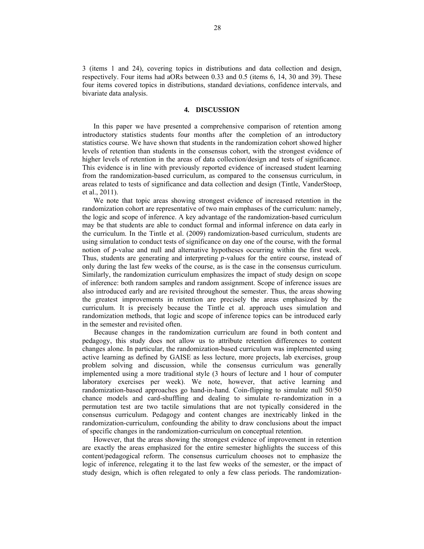3 (items 1 and 24), covering topics in distributions and data collection and design, respectively. Four items had aORs between 0.33 and 0.5 (items 6, 14, 30 and 39). These four items covered topics in distributions, standard deviations, confidence intervals, and bivariate data analysis.

# **4. DISCUSSION**

In this paper we have presented a comprehensive comparison of retention among introductory statistics students four months after the completion of an introductory statistics course. We have shown that students in the randomization cohort showed higher levels of retention than students in the consensus cohort, with the strongest evidence of higher levels of retention in the areas of data collection/design and tests of significance. This evidence is in line with previously reported evidence of increased student learning from the randomization-based curriculum, as compared to the consensus curriculum, in areas related to tests of significance and data collection and design (Tintle, VanderStoep, et al., 2011).

We note that topic areas showing strongest evidence of increased retention in the randomization cohort are representative of two main emphases of the curriculum: namely, the logic and scope of inference. A key advantage of the randomization-based curriculum may be that students are able to conduct formal and informal inference on data early in the curriculum. In the Tintle et al. (2009) randomization-based curriculum, students are using simulation to conduct tests of significance on day one of the course, with the formal notion of *p*-value and null and alternative hypotheses occurring within the first week. Thus, students are generating and interpreting *p*-values for the entire course, instead of only during the last few weeks of the course, as is the case in the consensus curriculum. Similarly, the randomization curriculum emphasizes the impact of study design on scope of inference: both random samples and random assignment. Scope of inference issues are also introduced early and are revisited throughout the semester. Thus, the areas showing the greatest improvements in retention are precisely the areas emphasized by the curriculum. It is precisely because the Tintle et al. approach uses simulation and randomization methods, that logic and scope of inference topics can be introduced early in the semester and revisited often.

Because changes in the randomization curriculum are found in both content and pedagogy, this study does not allow us to attribute retention differences to content changes alone. In particular, the randomization-based curriculum was implemented using active learning as defined by GAISE as less lecture, more projects, lab exercises, group problem solving and discussion, while the consensus curriculum was generally implemented using a more traditional style (3 hours of lecture and 1 hour of computer laboratory exercises per week). We note, however, that active learning and randomization-based approaches go hand-in-hand. Coin-flipping to simulate null 50/50 chance models and card-shuffling and dealing to simulate re-randomization in a permutation test are two tactile simulations that are not typically considered in the consensus curriculum. Pedagogy and content changes are inextricably linked in the randomization-curriculum, confounding the ability to draw conclusions about the impact of specific changes in the randomization-curriculum on conceptual retention.

However, that the areas showing the strongest evidence of improvement in retention are exactly the areas emphasized for the entire semester highlights the success of this content/pedagogical reform. The consensus curriculum chooses not to emphasize the logic of inference, relegating it to the last few weeks of the semester, or the impact of study design, which is often relegated to only a few class periods. The randomization-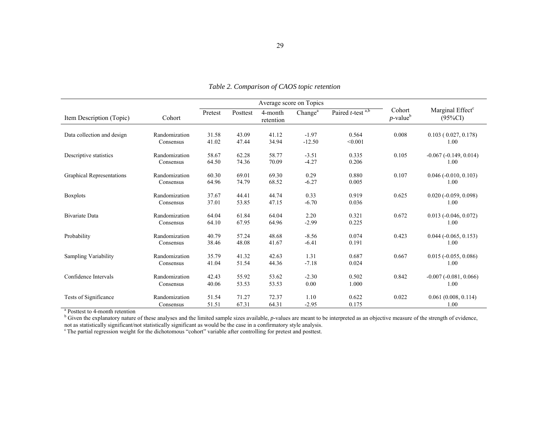|                                                                     |                            |                | Average score on Topics |                      |                     |                        |                                   |                                            |
|---------------------------------------------------------------------|----------------------------|----------------|-------------------------|----------------------|---------------------|------------------------|-----------------------------------|--------------------------------------------|
| Item Description (Topic)                                            | Cohort                     | Pretest        | Posttest                | 4-month<br>retention | Change <sup>a</sup> | Paired $t$ -test $a,b$ | Cohort<br>$p$ -value <sup>b</sup> | Marginal Effect <sup>c</sup><br>$(95\%CI)$ |
| Data collection and design                                          | Randomization<br>Consensus | 31.58<br>41.02 | 43.09<br>47.44          | 41.12<br>34.94       | $-1.97$<br>$-12.50$ | 0.564<br>< 0.001       | 0.008                             | 0.103(0.027, 0.178)<br>1.00                |
| Descriptive statistics                                              | Randomization<br>Consensus | 58.67<br>64.50 | 62.28<br>74.36          | 58.77<br>70.09       | $-3.51$<br>$-4.27$  | 0.335<br>0.206         | 0.105                             | $-0.067(-0.149, 0.014)$<br>1.00            |
| <b>Graphical Representations</b>                                    | Randomization<br>Consensus | 60.30<br>64.96 | 69.01<br>74.79          | 69.30<br>68.52       | 0.29<br>$-6.27$     | 0.880<br>0.005         | 0.107                             | $0.046$ ( $-0.010$ , $0.103$ )<br>1.00     |
| <b>Boxplots</b>                                                     | Randomization<br>Consensus | 37.67<br>37.01 | 44.41<br>53.85          | 44.74<br>47.15       | 0.33<br>$-6.70$     | 0.919<br>0.036         | 0.625                             | $0.020 (-0.059, 0.098)$<br>1.00            |
| <b>Bivariate Data</b>                                               | Randomization<br>Consensus | 64.04<br>64.10 | 61.84<br>67.95          | 64.04<br>64.96       | 2.20<br>$-2.99$     | 0.321<br>0.225         | 0.672                             | $0.013(-0.046, 0.072)$<br>1.00             |
| Probability                                                         | Randomization<br>Consensus | 40.79<br>38.46 | 57.24<br>48.08          | 48.68<br>41.67       | $-8.56$<br>$-6.41$  | 0.074<br>0.191         | 0.423                             | $0.044 (-0.065, 0.153)$<br>1.00            |
| Sampling Variability                                                | Randomization<br>Consensus | 35.79<br>41.04 | 41.32<br>51.54          | 42.63<br>44.36       | 1.31<br>$-7.18$     | 0.687<br>0.024         | 0.667                             | $0.015 (-0.055, 0.086)$<br>1.00            |
| Confidence Intervals                                                | Randomization<br>Consensus | 42.43<br>40.06 | 55.92<br>53.53          | 53.62<br>53.53       | $-2.30$<br>0.00     | 0.502<br>1.000         | 0.842                             | $-0.007(-0.081, 0.066)$<br>1.00            |
| Tests of Significance<br><sup>a</sup> Posttest to 4-month retention | Randomization<br>Consensus | 51.54<br>51.51 | 71.27<br>67.31          | 72.37<br>64.31       | 1.10<br>$-2.95$     | 0.622<br>0.175         | 0.022                             | 0.061(0.008, 0.114)<br>1.00                |

*Table 2. Comparison of CAOS topic retention* 

not as statistically significant/not statistically significant as would be the case in a confirmatory style analysis. c The partial regression weight for the dichotomous "cohort" variable after controlling for pretest and posttest.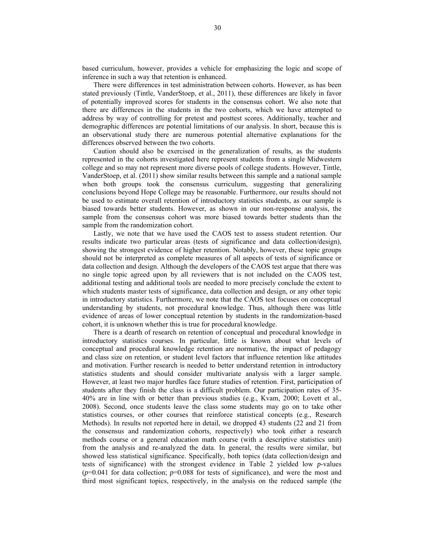based curriculum, however, provides a vehicle for emphasizing the logic and scope of inference in such a way that retention is enhanced.

There were differences in test administration between cohorts. However, as has been stated previously (Tintle, VanderStoep, et al., 2011), these differences are likely in favor of potentially improved scores for students in the consensus cohort. We also note that there are differences in the students in the two cohorts, which we have attempted to address by way of controlling for pretest and posttest scores. Additionally, teacher and demographic differences are potential limitations of our analysis. In short, because this is an observational study there are numerous potential alternative explanations for the differences observed between the two cohorts.

Caution should also be exercised in the generalization of results, as the students represented in the cohorts investigated here represent students from a single Midwestern college and so may not represent more diverse pools of college students. However, Tintle, VanderStoep, et al. (2011) show similar results between this sample and a national sample when both groups took the consensus curriculum, suggesting that generalizing conclusions beyond Hope College may be reasonable. Furthermore, our results should not be used to estimate overall retention of introductory statistics students, as our sample is biased towards better students. However, as shown in our non-response analysis, the sample from the consensus cohort was more biased towards better students than the sample from the randomization cohort.

Lastly, we note that we have used the CAOS test to assess student retention. Our results indicate two particular areas (tests of significance and data collection/design), showing the strongest evidence of higher retention. Notably, however, these topic groups should not be interpreted as complete measures of all aspects of tests of significance or data collection and design. Although the developers of the CAOS test argue that there was no single topic agreed upon by all reviewers that is not included on the CAOS test, additional testing and additional tools are needed to more precisely conclude the extent to which students master tests of significance, data collection and design, or any other topic in introductory statistics. Furthermore, we note that the CAOS test focuses on conceptual understanding by students, not procedural knowledge. Thus, although there was little evidence of areas of lower conceptual retention by students in the randomization-based cohort, it is unknown whether this is true for procedural knowledge.

There is a dearth of research on retention of conceptual and procedural knowledge in introductory statistics courses. In particular, little is known about what levels of conceptual and procedural knowledge retention are normative, the impact of pedagogy and class size on retention, or student level factors that influence retention like attitudes and motivation. Further research is needed to better understand retention in introductory statistics students and should consider multivariate analysis with a larger sample. However, at least two major hurdles face future studies of retention. First, participation of students after they finish the class is a difficult problem. Our participation rates of 35- 40% are in line with or better than previous studies (e.g., Kvam, 2000; Lovett et al., 2008). Second, once students leave the class some students may go on to take other statistics courses, or other courses that reinforce statistical concepts (e.g., Research Methods). In results not reported here in detail, we dropped 43 students (22 and 21 from the consensus and randomization cohorts, respectively) who took either a research methods course or a general education math course (with a descriptive statistics unit) from the analysis and re-analyzed the data. In general, the results were similar, but showed less statistical significance. Specifically, both topics (data collection/design and tests of significance) with the strongest evidence in Table 2 yielded low *p*-values  $(p=0.041)$  for data collection;  $p=0.088$  for tests of significance), and were the most and third most significant topics, respectively, in the analysis on the reduced sample (the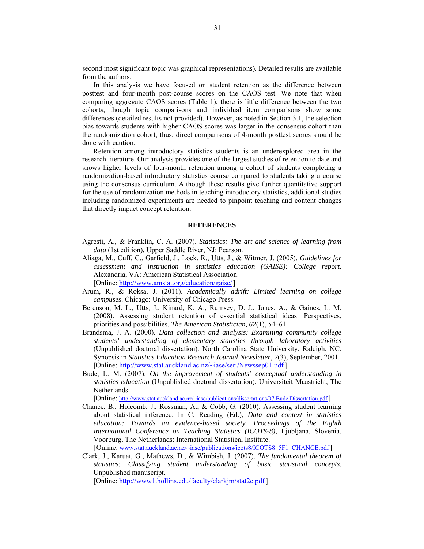second most significant topic was graphical representations). Detailed results are available from the authors.

In this analysis we have focused on student retention as the difference between posttest and four-month post-course scores on the CAOS test. We note that when comparing aggregate CAOS scores (Table 1), there is little difference between the two cohorts, though topic comparisons and individual item comparisons show some differences (detailed results not provided). However, as noted in Section 3.1, the selection bias towards students with higher CAOS scores was larger in the consensus cohort than the randomization cohort; thus, direct comparisons of 4-month posttest scores should be done with caution.

Retention among introductory statistics students is an underexplored area in the research literature. Our analysis provides one of the largest studies of retention to date and shows higher levels of four-month retention among a cohort of students completing a randomization-based introductory statistics course compared to students taking a course using the consensus curriculum. Although these results give further quantitative support for the use of randomization methods in teaching introductory statistics, additional studies including randomized experiments are needed to pinpoint teaching and content changes that directly impact concept retention.

## **REFERENCES**

- Agresti, A., & Franklin, C. A. (2007). *Statistics: The art and science of learning from data* (1st edition)*.* Upper Saddle River, NJ: Pearson.
- Aliaga, M., Cuff, C., Garfield, J., Lock, R., Utts, J., & Witmer, J. (2005). *Guidelines for assessment and instruction in statistics education (GAISE): College report*. Alexandria, VA: American Statistical Association. [Online: http://www.amstat.org/education/gaise/]
- Arum, R., & Roksa, J. (2011). *Academically adrift: Limited learning on college campuses*. Chicago: University of Chicago Press.
- Berenson, M. L., Utts, J., Kinard, K. A., Rumsey, D. J., Jones, A., & Gaines, L. M. (2008). Assessing student retention of essential statistical ideas: Perspectives, priorities and possibilities. *The American Statistician, 62*(1), 54–61.
- Brandsma, J. A. (2000). *Data collection and analysis: Examining community college students' understanding of elementary statistics through laboratory activities* (Unpublished doctoral dissertation). North Carolina State University, Raleigh, NC. Synopsis in *Statistics Education Research Journal Newsletter*, *2*(3), September, 2001. [Online: http://www.stat.auckland.ac.nz/~iase/serj/Newssep01.pdf]
- Bude, L. M. (2007). *On the improvement of students' conceptual understanding in statistics education* (Unpublished doctoral dissertation). Universiteit Maastricht, The Netherlands.

[Online: http://www.stat.auckland.ac.nz/~iase/publications/dissertations/07.Bude.Dissertation.pdf ]

Chance, B., Holcomb, J., Rossman, A., & Cobb, G. (2010). Assessing student learning about statistical inference. In C. Reading (Ed.), *Data and context in statistics education: Towards an evidence-based society. Proceedings of the Eighth International Conference on Teaching Statistics (ICOTS-8)*, Ljubljana, Slovenia. Voorburg, The Netherlands: International Statistical Institute.

[Online: www.stat.auckland.ac.nz/~iase/publications/icots8/ICOTS8\_5F1\_CHANCE.pdf]

Clark, J., Karuat, G., Mathews, D., & Wimbish, J. (2007). *The fundamental theorem of statistics: Classifying student understanding of basic statistical concepts*. Unpublished manuscript.

[Online: http://www1.hollins.edu/faculty/clarkjm/stat2c.pdf]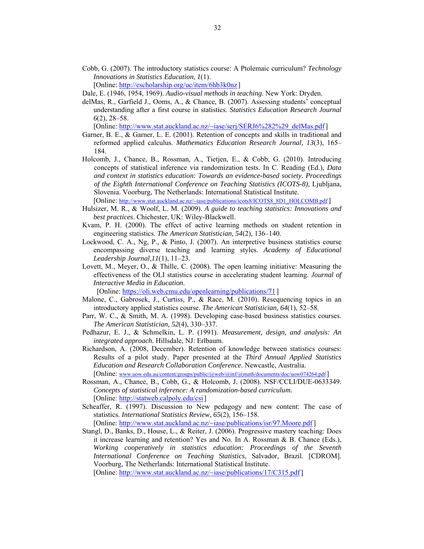Cobb, G. (2007). The introductory statistics course: A Ptolemaic curriculum? *Technology Innovations in Statistics Education*, *1*(1).

[Online: http://escholarship.org/uc/item/6hb3k0nz ]

- Dale, E. (1946, 1954, 1969). *Audio-visual methods in teaching*. New York: Dryden.
- delMas, R., Garfield J., Ooms, A., & Chance, B. (2007). Assessing students' conceptual understanding after a first course in statistics. *Statistics Education Research Journal 6*(2), 28–58.

[Online: http://www.stat.auckland.ac.nz/~iase/serj/SERJ6%282%29\_delMas.pdf]

- Garner, B. E., & Garner, L. E. (2001). Retention of concepts and skills in traditional and reformed applied calculus. *Mathematics Education Research Journal, 13*(3), 165– 184.
- Holcomb, J., Chance, B., Rossman, A., Tietjen, E., & Cobb, G. (2010). Introducing concepts of statistical inference via randomization tests. In C. Reading (Ed.), *Data and context in statistics education: Towards an evidence-based society. Proceedings of the Eighth International Conference on Teaching Statistics (ICOTS-8)*, Ljubljana, Slovenia. Voorburg, The Netherlands: International Statistical Institute. [Online: http://www.stat.auckland.ac.nz/~iase/publications/icots8/ICOTS8\_8D1\_HOLCOMB.pdf ]
- Hulsizer, M. R., & Woolf, L. M. (2009). *A guide to teaching statistics: Innovations and best practices*. Chichester, UK: Wiley-Blackwell.
- Kvam, P. H. (2000). The effect of active learning methods on student retention in engineering statistics. *The American Statisti*c*ian, 54*(2), 136–140.
- Lockwood, C. A., Ng, P., & Pinto, J. (2007). An interpretive business statistics course encompassing diverse teaching and learning styles. *Academy of Educational Leadership Journal,11*(1), 11–23*.*
- Lovett, M., Meyer, O., & Thille, C. (2008). The open learning initiative: Measuring the effectiveness of the OLI statistics course in accelerating student learning. *Journal of Interactive Media in Education*.

[Online: https://oli.web.cmu.edu/openlearning/publications/71 ]

- Malone, C., Gabrosek, J., Curtiss, P., & Race, M. (2010). Resequencing topics in an introductory applied statistics course. *The American Statistician, 64*(1), 52–58.
- Parr, W. C., & Smith, M. A. (1998). Developing case-based business statistics courses. *The American Statistician, 52*(4), 330–337.
- Pedhazur, E. J., & Schmelkin, L. P. (1991). *Measurement, design, and analysis: An integrated approach.* Hillsdale, NJ: Erlbaum.
- Richardson, A. (2008, December). Retention of knowledge between statistics courses: Results of a pilot study. Paper presented at the *Third Annual Applied Statistics Education and Research Collaboration Conference*. Newcastle, Australia.

[Online: www.uow.edu.au/content/groups/public/@web/@inf/@math/documents/doc/uow074264.pdf ]

- Rossman, A., Chance, B., Cobb, G., & Holcomb, J. (2008). NSF/CCLI/DUE-0633349. *Concepts of statistical inference: A randomization-based curriculum.* [Online: http://statweb.calpoly.edu/csi]
- Scheaffer, R. (1997). Discussion to New pedagogy and new content: The case of statistics. *International Statistics Review, 65*(2), 156–158. [Online: http://www.stat.auckland.ac.nz/~iase/publications/isr/97.Moore.pdf]
- Stangl, D., Banks, D., House, L., & Reiter, J. (2006). Progressive mastery teaching: Does it increase learning and retention? Yes and No. In A. Rossman & B. Chance (Eds.), *Working cooperatively in statistics education: Proceedings of the Seventh International Conference on Teaching Statistics*, Salvador, Brazil. [CDROM]. Voorburg, The Netherlands: International Statistical Institute.

[Online: http://www.stat.auckland.ac.nz/~iase/publications/17/C315.pdf]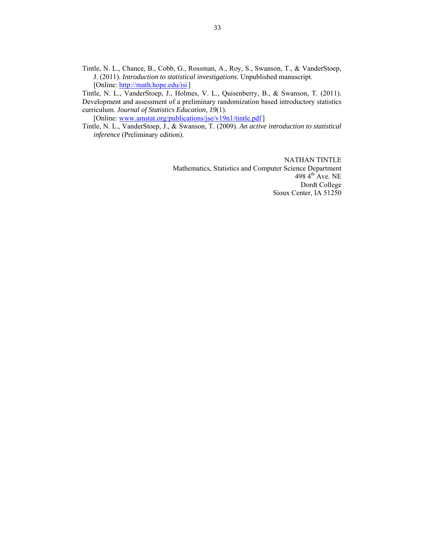Tintle, N. L., Chance, B., Cobb, G., Rossman, A., Roy, S., Swanson, T., & VanderStoep, J. (2011). *Introduction to statistical investigations*. Unpublished manuscript. [Online: http://math.hope.edu/isi]

Tintle, N. L., VanderStoep, J., Holmes, V. L., Quisenberry, B., & Swanson, T. (2011). Development and assessment of a preliminary randomization based introductory statistics curriculum. *Journal of Statistics Education, 19*(1).

[Online: www.amstat.org/publications/jse/v19n1/tintle.pdf]

Tintle, N. L., VanderStoep, J., & Swanson, T. (2009). *An active introduction to statistical inference* (Preliminary edition).

> NATHAN TINTLE Mathematics, Statistics and Computer Science Department 498 4<sup>th</sup> Ave. NE Dordt College Sioux Center, IA 51250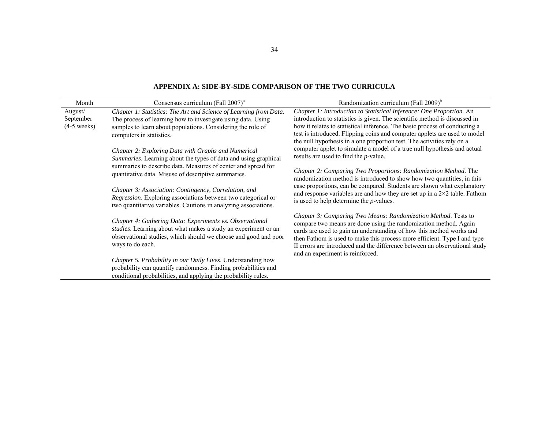| Month                                 | Consensus curriculum (Fall 2007) <sup>a</sup>                                                                                                                                                                                | Randomization curriculum (Fall 2009) <sup>b</sup>                                                                                                                                                                                                                                                                                                                                                        |  |  |  |  |
|---------------------------------------|------------------------------------------------------------------------------------------------------------------------------------------------------------------------------------------------------------------------------|----------------------------------------------------------------------------------------------------------------------------------------------------------------------------------------------------------------------------------------------------------------------------------------------------------------------------------------------------------------------------------------------------------|--|--|--|--|
| August/<br>September<br>$(4-5$ weeks) | Chapter 1: Statistics: The Art and Science of Learning from Data.<br>The process of learning how to investigate using data. Using<br>samples to learn about populations. Considering the role of<br>computers in statistics. | Chapter 1: Introduction to Statistical Inference: One Proportion. An<br>introduction to statistics is given. The scientific method is discussed in<br>how it relates to statistical inference. The basic process of conducting a<br>test is introduced. Flipping coins and computer applets are used to model<br>the null hypothesis in a one proportion test. The activities rely on a                  |  |  |  |  |
|                                       | Chapter 2: Exploring Data with Graphs and Numerical<br><i>Summaries.</i> Learning about the types of data and using graphical                                                                                                | computer applet to simulate a model of a true null hypothesis and actual<br>results are used to find the <i>p</i> -value.                                                                                                                                                                                                                                                                                |  |  |  |  |
|                                       | summaries to describe data. Measures of center and spread for<br>quantitative data. Misuse of descriptive summaries.                                                                                                         | Chapter 2: Comparing Two Proportions: Randomization Method. The<br>randomization method is introduced to show how two quantities, in this                                                                                                                                                                                                                                                                |  |  |  |  |
|                                       | Chapter 3: Association: Contingency, Correlation, and<br>Regression. Exploring associations between two categorical or<br>two quantitative variables. Cautions in analyzing associations.                                    | case proportions, can be compared. Students are shown what explanatory<br>and response variables are and how they are set up in a $2\times 2$ table. Fathom<br>is used to help determine the $p$ -values.                                                                                                                                                                                                |  |  |  |  |
|                                       | Chapter 4: Gathering Data: Experiments vs. Observational<br>studies. Learning about what makes a study an experiment or an<br>observational studies, which should we choose and good and poor<br>ways to do each.            | Chapter 3: Comparing Two Means: Randomization Method. Tests to<br>compare two means are done using the randomization method. Again<br>cards are used to gain an understanding of how this method works and<br>then Fathom is used to make this process more efficient. Type I and type<br>II errors are introduced and the difference between an observational study<br>and an experiment is reinforced. |  |  |  |  |
|                                       | Chapter 5. Probability in our Daily Lives. Understanding how<br>probability can quantify randomness. Finding probabilities and<br>conditional probabilities, and applying the probability rules.                             |                                                                                                                                                                                                                                                                                                                                                                                                          |  |  |  |  |

### **APPENDIX A: SIDE-BY-SIDE COMPARISON OF THE TWO CURRICULA**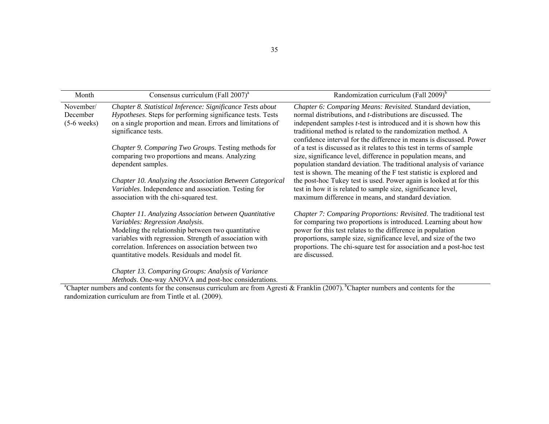| Month                                  | Consensus curriculum (Fall 2007) <sup>a</sup>                                                                                                                                                                                                                                                                     | Randomization curriculum (Fall 2009) <sup>b</sup>                                                                                                                                                                                                                                                                                                                  |
|----------------------------------------|-------------------------------------------------------------------------------------------------------------------------------------------------------------------------------------------------------------------------------------------------------------------------------------------------------------------|--------------------------------------------------------------------------------------------------------------------------------------------------------------------------------------------------------------------------------------------------------------------------------------------------------------------------------------------------------------------|
| November/<br>December<br>$(5-6$ weeks) | Chapter 8. Statistical Inference: Significance Tests about<br>Hypotheses. Steps for performing significance tests. Tests<br>on a single proportion and mean. Errors and limitations of<br>significance tests.                                                                                                     | Chapter 6: Comparing Means: Revisited. Standard deviation,<br>normal distributions, and <i>t</i> -distributions are discussed. The<br>independent samples $t$ -test is introduced and it is shown how this<br>traditional method is related to the randomization method. A<br>confidence interval for the difference in means is discussed. Power                  |
|                                        | Chapter 9. Comparing Two Groups. Testing methods for<br>comparing two proportions and means. Analyzing<br>dependent samples.                                                                                                                                                                                      | of a test is discussed as it relates to this test in terms of sample<br>size, significance level, difference in population means, and<br>population standard deviation. The traditional analysis of variance<br>test is shown. The meaning of the F test statistic is explored and                                                                                 |
|                                        | Chapter 10. Analyzing the Association Between Categorical<br>Variables. Independence and association. Testing for<br>association with the chi-squared test.                                                                                                                                                       | the post-hoc Tukey test is used. Power again is looked at for this<br>test in how it is related to sample size, significance level,<br>maximum difference in means, and standard deviation.                                                                                                                                                                        |
|                                        | Chapter 11. Analyzing Association between Quantitative<br>Variables: Regression Analysis.<br>Modeling the relationship between two quantitative<br>variables with regression. Strength of association with<br>correlation. Inferences on association between two<br>quantitative models. Residuals and model fit. | Chapter 7: Comparing Proportions: Revisited. The traditional test<br>for comparing two proportions is introduced. Learning about how<br>power for this test relates to the difference in population<br>proportions, sample size, significance level, and size of the two<br>proportions. The chi-square test for association and a post-hoc test<br>are discussed. |
|                                        | Chapter 13. Comparing Groups: Analysis of Variance<br>Methods. One-way ANOVA and post-hoc considerations.                                                                                                                                                                                                         |                                                                                                                                                                                                                                                                                                                                                                    |

<sup>a</sup>Chapter numbers and contents for the consensus curriculum are from Agresti & Franklin (2007). <sup>b</sup>Chapter numbers and contents for the randomization curriculum are from Tintle et al. (2009).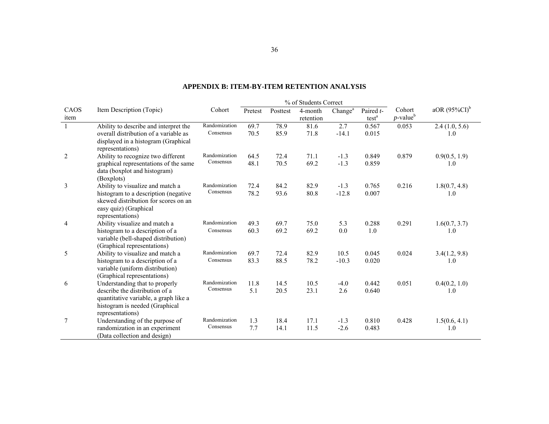|              |                                                                                                                               | % of Students Correct |         |          |                      |                     |                                |                                   |                  |
|--------------|-------------------------------------------------------------------------------------------------------------------------------|-----------------------|---------|----------|----------------------|---------------------|--------------------------------|-----------------------------------|------------------|
| CAOS<br>item | Item Description (Topic)                                                                                                      | Cohort                | Pretest | Posttest | 4-month<br>retention | Change <sup>a</sup> | Paired t-<br>test <sup>a</sup> | Cohort<br>$p$ -value <sup>b</sup> | aOR $(95\%CI)^b$ |
| $\mathbf{1}$ | Ability to describe and interpret the                                                                                         | Randomization         | 69.7    | 78.9     | 81.6                 | 2.7                 | 0.567                          | 0.053                             | 2.4(1.0, 5.6)    |
|              | overall distribution of a variable as<br>displayed in a histogram (Graphical<br>representations)                              | Consensus             | 70.5    | 85.9     | 71.8                 | $-14.1$             | 0.015                          |                                   | 1.0              |
| 2            | Ability to recognize two different                                                                                            | Randomization         | 64.5    | 72.4     | 71.1                 | $-1.3$              | 0.849                          | 0.879                             | 0.9(0.5, 1.9)    |
|              | graphical representations of the same<br>data (boxplot and histogram)<br>(Boxplots)                                           | Consensus             | 48.1    | 70.5     | 69.2                 | $-1.3$              | 0.859                          |                                   | 1.0              |
| 3            | Ability to visualize and match a                                                                                              | Randomization         | 72.4    | 84.2     | 82.9                 | $-1.3$              | 0.765                          | 0.216                             | 1.8(0.7, 4.8)    |
|              | histogram to a description (negative<br>skewed distribution for scores on an<br>easy quiz) (Graphical<br>representations)     | Consensus             | 78.2    | 93.6     | 80.8                 | $-12.8$             | 0.007                          |                                   | 1.0              |
| 4            | Ability visualize and match a                                                                                                 | Randomization         | 49.3    | 69.7     | 75.0                 | 5.3                 | 0.288                          | 0.291                             | 1.6(0.7, 3.7)    |
|              | histogram to a description of a<br>variable (bell-shaped distribution)<br>(Graphical representations)                         | Consensus             | 60.3    | 69.2     | 69.2                 | 0.0                 | 1.0                            |                                   | 1.0              |
| 5            | Ability to visualize and match a                                                                                              | Randomization         | 69.7    | 72.4     | 82.9                 | 10.5                | 0.045                          | 0.024                             | 3.4(1.2, 9.8)    |
|              | histogram to a description of a<br>variable (uniform distribution)<br>(Graphical representations)                             | Consensus             | 83.3    | 88.5     | 78.2                 | $-10.3$             | 0.020                          |                                   | 1.0              |
| 6            | Understanding that to properly                                                                                                | Randomization         | 11.8    | 14.5     | 10.5                 | $-4.0$              | 0.442                          | 0.051                             | 0.4(0.2, 1.0)    |
|              | describe the distribution of a<br>quantitative variable, a graph like a<br>histogram is needed (Graphical<br>representations) | Consensus             | 5.1     | 20.5     | 23.1                 | 2.6                 | 0.640                          |                                   | 1.0              |
| 7            | Understanding of the purpose of                                                                                               | Randomization         | 1.3     | 18.4     | 17.1                 | $-1.3$              | 0.810                          | 0.428                             | 1.5(0.6, 4.1)    |
|              | randomization in an experiment<br>(Data collection and design)                                                                | Consensus             | 7.7     | 14.1     | 11.5                 | $-2.6$              | 0.483                          |                                   | 1.0              |

#### **APPENDIX B: ITEM-BY-ITEM RETENTION ANALYSIS**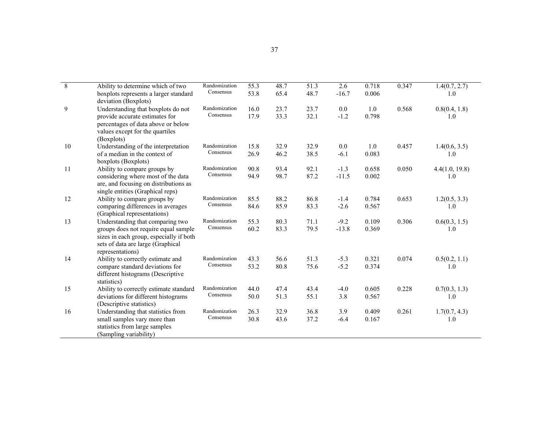| $\overline{8}$ | Ability to determine which of two                                                                                                        | Randomization | 55.3 | 48.7 | 51.3 | 2.6     | 0.718 | 0.347 | 1.4(0.7, 2.7)  |
|----------------|------------------------------------------------------------------------------------------------------------------------------------------|---------------|------|------|------|---------|-------|-------|----------------|
|                | boxplots represents a larger standard<br>deviation (Boxplots)                                                                            | Consensus     | 53.8 | 65.4 | 48.7 | $-16.7$ | 0.006 |       | 1.0            |
| 9              | Understanding that boxplots do not                                                                                                       | Randomization | 16.0 | 23.7 | 23.7 | $0.0\,$ | 1.0   | 0.568 | 0.8(0.4, 1.8)  |
|                | provide accurate estimates for<br>percentages of data above or below<br>values except for the quartiles<br>(Boxplots)                    | Consensus     | 17.9 | 33.3 | 32.1 | $-1.2$  | 0.798 |       | 1.0            |
| 10             | Understanding of the interpretation                                                                                                      | Randomization | 15.8 | 32.9 | 32.9 | $0.0\,$ | 1.0   | 0.457 | 1.4(0.6, 3.5)  |
|                | of a median in the context of<br>boxplots (Boxplots)                                                                                     | Consensus     | 26.9 | 46.2 | 38.5 | $-6.1$  | 0.083 |       | 1.0            |
| 11             | Ability to compare groups by                                                                                                             | Randomization | 90.8 | 93.4 | 92.1 | $-1.3$  | 0.658 | 0.050 | 4.4(1.0, 19.8) |
|                | considering where most of the data<br>are, and focusing on distributions as<br>single entities (Graphical reps)                          | Consensus     | 94.9 | 98.7 | 87.2 | $-11.5$ | 0.002 |       | 1.0            |
| 12             | Ability to compare groups by                                                                                                             | Randomization | 85.5 | 88.2 | 86.8 | $-1.4$  | 0.784 | 0.653 | 1.2(0.5, 3.3)  |
|                | comparing differences in averages<br>(Graphical representations)                                                                         | Consensus     | 84.6 | 85.9 | 83.3 | $-2.6$  | 0.567 |       | 1.0            |
| 13             | Understanding that comparing two                                                                                                         | Randomization | 55.3 | 80.3 | 71.1 | $-9.2$  | 0.109 | 0.306 | 0.6(0.3, 1.5)  |
|                | groups does not require equal sample<br>sizes in each group, especially if both<br>sets of data are large (Graphical<br>representations) | Consensus     | 60.2 | 83.3 | 79.5 | $-13.8$ | 0.369 |       | 1.0            |
| 14             | Ability to correctly estimate and                                                                                                        | Randomization | 43.3 | 56.6 | 51.3 | $-5.3$  | 0.321 | 0.074 | 0.5(0.2, 1.1)  |
|                | compare standard deviations for<br>different histograms (Descriptive<br>statistics)                                                      | Consensus     | 53.2 | 80.8 | 75.6 | $-5.2$  | 0.374 |       | 1.0            |
| 15             | Ability to correctly estimate standard                                                                                                   | Randomization | 44.0 | 47.4 | 43.4 | $-4.0$  | 0.605 | 0.228 | 0.7(0.3, 1.3)  |
|                | deviations for different histograms<br>(Descriptive statistics)                                                                          | Consensus     | 50.0 | 51.3 | 55.1 | 3.8     | 0.567 |       | 1.0            |
| 16             | Understanding that statistics from                                                                                                       | Randomization | 26.3 | 32.9 | 36.8 | 3.9     | 0.409 | 0.261 | 1.7(0.7, 4.3)  |
|                | small samples vary more than<br>statistics from large samples<br>(Sampling variability)                                                  | Consensus     | 30.8 | 43.6 | 37.2 | $-6.4$  | 0.167 |       | 1.0            |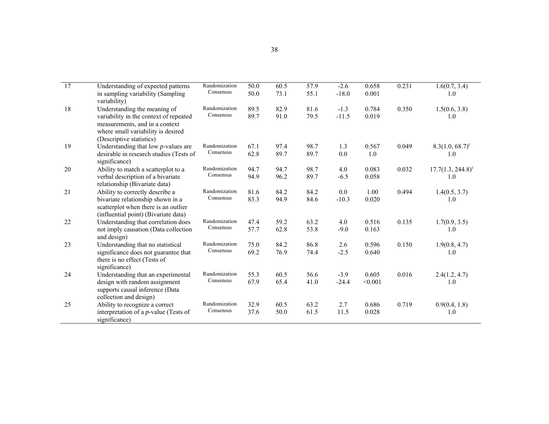| 17 | Understanding of expected patterns<br>in sampling variability (Sampling<br>variability)                                                              | Randomization<br>Consensus | 50.0<br>50.0 | 60.5<br>73.1 | 57.9<br>55.1 | $-2.6$<br>$-18.0$ | 0.658<br>0.001   | 0.231 | 1.6(0.7, 3.4)<br>1.0              |
|----|------------------------------------------------------------------------------------------------------------------------------------------------------|----------------------------|--------------|--------------|--------------|-------------------|------------------|-------|-----------------------------------|
| 18 | Understanding the meaning of<br>variability in the context of repeated<br>measurements, and in a context<br>where small variability is desired       | Randomization<br>Consensus | 89.5<br>89.7 | 82.9<br>91.0 | 81.6<br>79.5 | $-1.3$<br>$-11.5$ | 0.784<br>0.019   | 0.350 | 1.5(0.6, 3.8)<br>1.0              |
| 19 | (Descriptive statistics)<br>Understanding that low $p$ -values are<br>desirable in research studies (Tests of<br>significance)                       | Randomization<br>Consensus | 67.1<br>62.8 | 97.4<br>89.7 | 98.7<br>89.7 | 1.3<br>0.0        | 0.567<br>1.0     | 0.049 | $8.3(1.0, 68.7)^c$<br>1.0         |
| 20 | Ability to match a scatterplot to a<br>verbal description of a bivariate<br>relationship (Bivariate data)                                            | Randomization<br>Consensus | 94.7<br>94.9 | 94.7<br>96.2 | 98.7<br>89.7 | 4.0<br>$-6.5$     | 0.083<br>0.058   | 0.032 | $17.7(1.3, 244.8)^{\circ}$<br>1.0 |
| 21 | Ability to correctly describe a<br>bivariate relationship shown in a<br>scatterplot when there is an outlier<br>(influential point) (Bivariate data) | Randomization<br>Consensus | 81.6<br>83.3 | 84.2<br>94.9 | 84.2<br>84.6 | 0.0<br>$-10.3$    | 1.00<br>0.020    | 0.494 | 1.4(0.5, 3.7)<br>1.0              |
| 22 | Understanding that correlation does<br>not imply causation (Data collection<br>and design)                                                           | Randomization<br>Consensus | 47.4<br>57.7 | 59.2<br>62.8 | 63.2<br>53.8 | 4.0<br>$-9.0$     | 0.516<br>0.163   | 0.135 | 1.7(0.9, 3.5)<br>1.0              |
| 23 | Understanding that no statistical<br>significance does not guarantee that<br>there is no effect (Tests of<br>significance)                           | Randomization<br>Consensus | 75.0<br>69.2 | 84.2<br>76.9 | 86.8<br>74.4 | 2.6<br>$-2.5$     | 0.596<br>0.640   | 0.150 | 1.9(0.8, 4.7)<br>1.0              |
| 24 | Understanding that an experimental<br>design with random assignment<br>supports causal inference (Data<br>collection and design)                     | Randomization<br>Consensus | 55.3<br>67.9 | 60.5<br>65.4 | 56.6<br>41.0 | $-3.9$<br>$-24.4$ | 0.605<br>< 0.001 | 0.016 | 2.4(1.2, 4.7)<br>1.0              |
| 25 | Ability to recognize a correct<br>interpretation of a <i>p</i> -value (Tests of<br>significance)                                                     | Randomization<br>Consensus | 32.9<br>37.6 | 60.5<br>50.0 | 63.2<br>61.5 | 2.7<br>11.5       | 0.686<br>0.028   | 0.719 | 0.9(0.4, 1.8)<br>1.0              |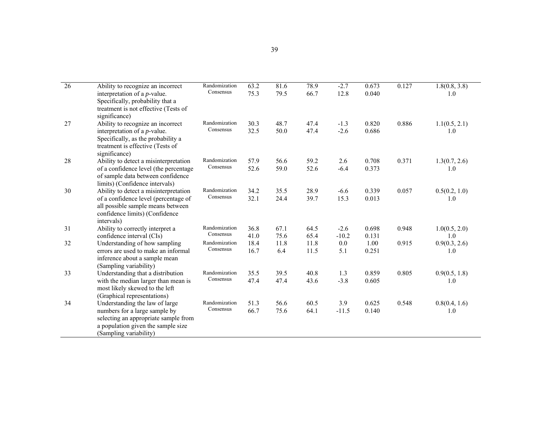| $\overline{26}$ | Ability to recognize an incorrect<br>interpretation of a <i>p</i> -value.<br>Specifically, probability that a                                                            | Randomization<br>Consensus | 63.2<br>75.3 | 81.6<br>79.5 | 78.9<br>66.7 | $-2.7$<br>12.8    | 0.673<br>0.040 | 0.127 | 1.8(0.8, 3.8)<br>1.0 |
|-----------------|--------------------------------------------------------------------------------------------------------------------------------------------------------------------------|----------------------------|--------------|--------------|--------------|-------------------|----------------|-------|----------------------|
| 27              | treatment is not effective (Tests of<br>significance)<br>Ability to recognize an incorrect<br>interpretation of a <i>p</i> -value.<br>Specifically, as the probability a | Randomization<br>Consensus | 30.3<br>32.5 | 48.7<br>50.0 | 47.4<br>47.4 | $-1.3$<br>$-2.6$  | 0.820<br>0.686 | 0.886 | 1.1(0.5, 2.1)<br>1.0 |
|                 | treatment is effective (Tests of<br>significance)                                                                                                                        |                            |              |              |              |                   |                |       |                      |
| 28              | Ability to detect a misinterpretation<br>of a confidence level (the percentage<br>of sample data between confidence<br>limits) (Confidence intervals)                    | Randomization<br>Consensus | 57.9<br>52.6 | 56.6<br>59.0 | 59.2<br>52.6 | 2.6<br>$-6.4$     | 0.708<br>0.373 | 0.371 | 1.3(0.7, 2.6)<br>1.0 |
| 30              | Ability to detect a misinterpretation<br>of a confidence level (percentage of<br>all possible sample means between<br>confidence limits) (Confidence<br>intervals)       | Randomization<br>Consensus | 34.2<br>32.1 | 35.5<br>24.4 | 28.9<br>39.7 | $-6.6$<br>15.3    | 0.339<br>0.013 | 0.057 | 0.5(0.2, 1.0)<br>1.0 |
| 31              | Ability to correctly interpret a<br>confidence interval (CIs)                                                                                                            | Randomization<br>Consensus | 36.8<br>41.0 | 67.1<br>75.6 | 64.5<br>65.4 | $-2.6$<br>$-10.2$ | 0.698<br>0.131 | 0.948 | 1.0(0.5, 2.0)<br>1.0 |
| 32              | Understanding of how sampling<br>errors are used to make an informal<br>inference about a sample mean<br>(Sampling variability)                                          | Randomization<br>Consensus | 18.4<br>16.7 | 11.8<br>6.4  | 11.8<br>11.5 | 0.0<br>5.1        | 1.00<br>0.251  | 0.915 | 0.9(0.3, 2.6)<br>1.0 |
| 33              | Understanding that a distribution<br>with the median larger than mean is<br>most likely skewed to the left<br>(Graphical representations)                                | Randomization<br>Consensus | 35.5<br>47.4 | 39.5<br>47.4 | 40.8<br>43.6 | 1.3<br>$-3.8$     | 0.859<br>0.605 | 0.805 | 0.9(0.5, 1.8)<br>1.0 |
| 34              | Understanding the law of large<br>numbers for a large sample by<br>selecting an appropriate sample from<br>a population given the sample size<br>(Sampling variability)  | Randomization<br>Consensus | 51.3<br>66.7 | 56.6<br>75.6 | 60.5<br>64.1 | 3.9<br>$-11.5$    | 0.625<br>0.140 | 0.548 | 0.8(0.4, 1.6)<br>1.0 |